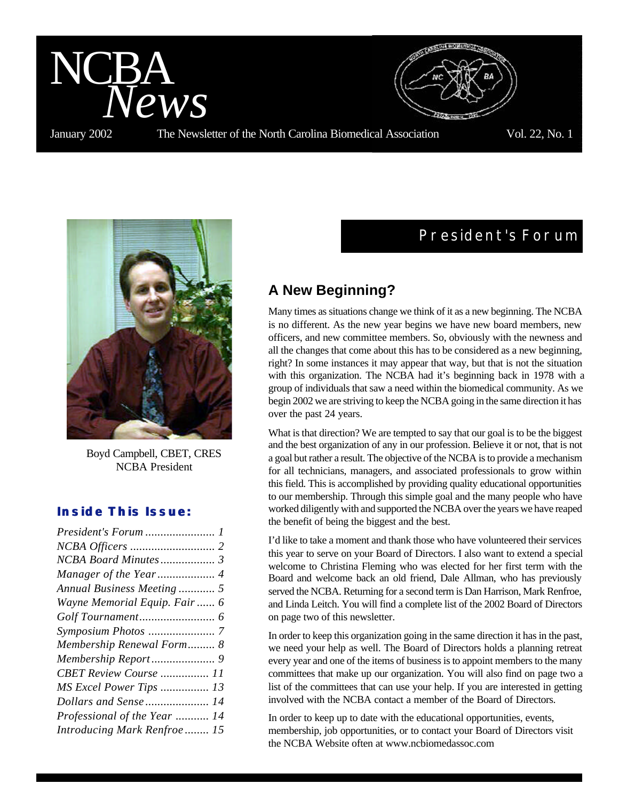

Boyd Campbell, CBET, CRES NCBA President

## *Inside This Issue:*

| President's Forum  1          |
|-------------------------------|
|                               |
|                               |
|                               |
| Annual Business Meeting  5    |
| Wayne Memorial Equip. Fair  6 |
|                               |
|                               |
| Membership Renewal Form 8     |
|                               |
| CBET Review Course  11        |
| MS Excel Power Tips  13       |
| Dollars and Sense  14         |
| Professional of the Year  14  |
| Introducing Mark Renfroe 15   |
|                               |

# **President's Forum**

# **A New Beginning?**

Many times as situations change we think of it as a new beginning. The NCBA is no different. As the new year begins we have new board members, new officers, and new committee members. So, obviously with the newness and all the changes that come about this has to be considered as a new beginning, right? In some instances it may appear that way, but that is not the situation with this organization. The NCBA had it's beginning back in 1978 with a group of individuals that saw a need within the biomedical community. As we begin 2002 we are striving to keep the NCBA going in the same direction it has over the past 24 years.

What is that direction? We are tempted to say that our goal is to be the biggest and the best organization of any in our profession. Believe it or not, that is not a goal but rather a result. The objective of the NCBA is to provide a mechanism for all technicians, managers, and associated professionals to grow within this field. This is accomplished by providing quality educational opportunities to our membership. Through this simple goal and the many people who have worked diligently with and supported the NCBA over the years we have reaped the benefit of being the biggest and the best.

I'd like to take a moment and thank those who have volunteered their services this year to serve on your Board of Directors. I also want to extend a special welcome to Christina Fleming who was elected for her first term with the Board and welcome back an old friend, Dale Allman, who has previously served the NCBA. Returning for a second term is Dan Harrison, Mark Renfroe, and Linda Leitch. You will find a complete list of the 2002 Board of Directors on page two of this newsletter.

In order to keep this organization going in the same direction it has in the past, we need your help as well. The Board of Directors holds a planning retreat every year and one of the items of business is to appoint members to the many committees that make up our organization. You will also find on page two a list of the committees that can use your help. If you are interested in getting involved with the NCBA contact a member of the Board of Directors.

In order to keep up to date with the educational opportunities, events, membership, job opportunities, or to contact your Board of Directors visit the NCBA Website often at www.ncbiomedassoc.com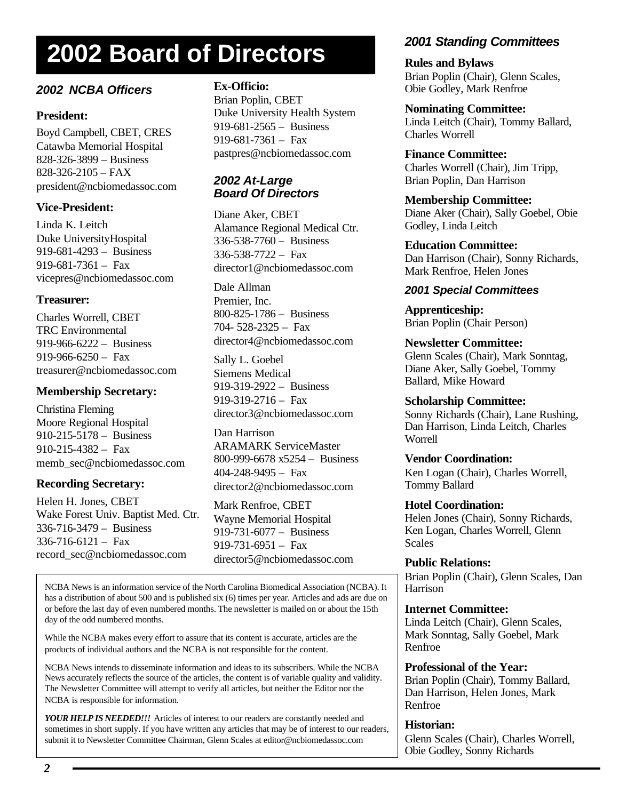# **2002 Board of Directors**

## *2002 NCBA Officers*

## **President:**

Boyd Campbell, CBET, CRES Catawba Memorial Hospital 828-326-3899 – Business 828-326-2105 – FAX president@ncbiomedassoc.com

## **Vice-President:**

Linda K. Leitch Duke UniversityHospital 919-681-4293 – Business  $919-681-7361 - \text{Fax}$ vicepres@ncbiomedassoc.com

## **Treasurer:**

Charles Worrell, CBET TRC Environmental 919-966-6222 – Business 919-966-6250 – Fax treasurer@ncbiomedassoc.com

## **Membership Secretary:**

Christina Fleming Moore Regional Hospital 910-215-5178 – Business 910-215-4382 – Fax memb\_sec@ncbiomedassoc.com

## **Recording Secretary:**

Helen H. Jones, CBET Wake Forest Univ. Baptist Med. Ctr. 336-716-3479 – Business  $336 - 716 - 6121 - \text{Fax}$ record\_sec@ncbiomedassoc.com

## **Ex-Officio:**

Brian Poplin, CBET Duke University Health System 919-681-2565 – Business 919-681-7361 – Fax pastpres@ncbiomedassoc.com

## *2002 At-Large Board Of Directors*

Diane Aker, CBET Alamance Regional Medical Ctr. 336-538-7760 – Business 336-538-7722 – Fax director1@ncbiomedassoc.com

Dale Allman Premier, Inc. 800-825-1786 – Business 704- 528-2325 – Fax director4@ncbiomedassoc.com

Sally L. Goebel Siemens Medical 919-319-2922 – Business 919-319-2716 – Fax director3@ncbiomedassoc.com

Dan Harrison ARAMARK ServiceMaster 800-999-6678 x5254 – Business 404-248-9495 – Fax director2@ncbiomedassoc.com

Mark Renfroe, CBET Wayne Memorial Hospital 919-731-6077 – Business 919-731-6951 – Fax director5@ncbiomedassoc.com

NCBA News is an information service of the North Carolina Biomedical Association (NCBA). It has a distribution of about 500 and is published six (6) times per year. Articles and ads are due on or before the last day of even numbered months. The newsletter is mailed on or about the 15th day of the odd numbered months.

While the NCBA makes every effort to assure that its content is accurate, articles are the products of individual authors and the NCBA is not responsible for the content.

NCBA News intends to disseminate information and ideas to its subscribers. While the NCBA News accurately reflects the source of the articles, the content is of variable quality and validity. The Newsletter Committee will attempt to verify all articles, but neither the Editor nor the NCBA is responsible for information.

*YOUR HELP IS NEEDED!!!* Articles of interest to our readers are constantly needed and sometimes in short supply. If you have written any articles that may be of interest to our readers, submit it to Newsletter Committee Chairman, Glenn Scales at editor@ncbiomedassoc.com

# *2001 Standing Committees*

**Rules and Bylaws** Brian Poplin (Chair), Glenn Scales, Obie Godley, Mark Renfroe

**Nominating Committee:** Linda Leitch (Chair), Tommy Ballard, Charles Worrell

### **Finance Committee:**

Charles Worrell (Chair), Jim Tripp, Brian Poplin, Dan Harrison

**Membership Committee:** Diane Aker (Chair), Sally Goebel, Obie Godley, Linda Leitch

**Education Committee:** Dan Harrison (Chair), Sonny Richards, Mark Renfroe, Helen Jones

## *2001 Special Committees*

**Apprenticeship:** Brian Poplin (Chair Person)

**Newsletter Committee:** Glenn Scales (Chair), Mark Sonntag, Diane Aker, Sally Goebel, Tommy Ballard, Mike Howard

**Scholarship Committee:** Sonny Richards (Chair), Lane Rushing,

Dan Harrison, Linda Leitch, Charles Worrell

### **Vendor Coordination:**

Ken Logan (Chair), Charles Worrell, Tommy Ballard

### **Hotel Coordination:**

Helen Jones (Chair), Sonny Richards, Ken Logan, Charles Worrell, Glenn Scales

### **Public Relations:**

Brian Poplin (Chair), Glenn Scales, Dan Harrison

### **Internet Committee:**

Linda Leitch (Chair), Glenn Scales, Mark Sonntag, Sally Goebel, Mark Renfroe

### **Professional of the Year:**

Brian Poplin (Chair), Tommy Ballard, Dan Harrison, Helen Jones, Mark Renfroe

### **Historian:**

Glenn Scales (Chair), Charles Worrell, Obie Godley, Sonny Richards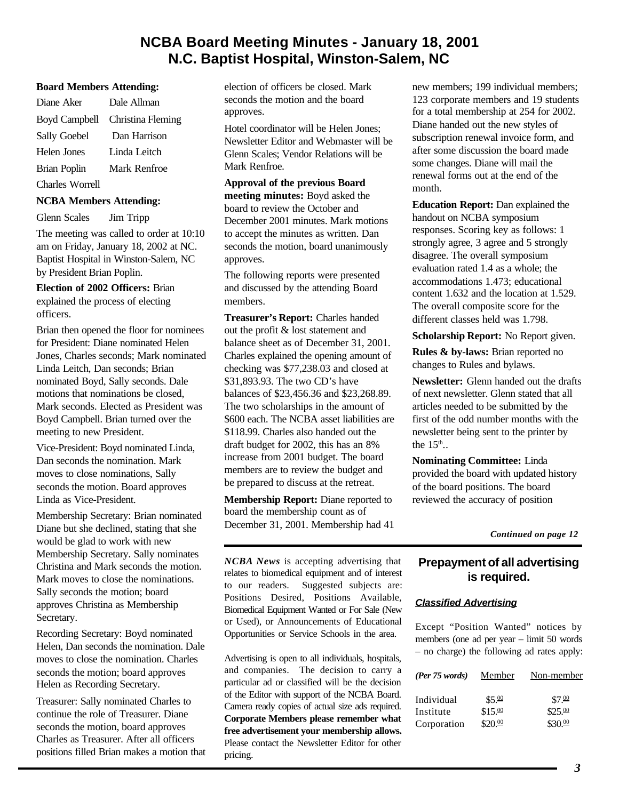# **NCBA Board Meeting Minutes - January 18, 2001 N.C. Baptist Hospital, Winston-Salem, NC**

### **Board Members Attending:**

| Diane Aker           | Dale Allman       |
|----------------------|-------------------|
| <b>Boyd Campbell</b> | Christina Fleming |
| Sally Goebel         | Dan Harrison      |
| Helen Jones          | Linda Leitch      |
| <b>Brian Poplin</b>  | Mark Renfroe      |
| Charles Worrell      |                   |

#### **NCBA Members Attending:**

Glenn Scales Jim Tripp

The meeting was called to order at 10:10 am on Friday, January 18, 2002 at NC. Baptist Hospital in Winston-Salem, NC by President Brian Poplin.

**Election of 2002 Officers:** Brian explained the process of electing officers.

Brian then opened the floor for nominees for President: Diane nominated Helen Jones, Charles seconds; Mark nominated Linda Leitch, Dan seconds; Brian nominated Boyd, Sally seconds. Dale motions that nominations be closed, Mark seconds. Elected as President was Boyd Campbell. Brian turned over the meeting to new President.

Vice-President: Boyd nominated Linda, Dan seconds the nomination. Mark moves to close nominations, Sally seconds the motion. Board approves Linda as Vice-President.

Membership Secretary: Brian nominated Diane but she declined, stating that she would be glad to work with new Membership Secretary. Sally nominates Christina and Mark seconds the motion. Mark moves to close the nominations. Sally seconds the motion; board approves Christina as Membership Secretary.

Recording Secretary: Boyd nominated Helen, Dan seconds the nomination. Dale moves to close the nomination. Charles seconds the motion; board approves Helen as Recording Secretary.

Treasurer: Sally nominated Charles to continue the role of Treasurer. Diane seconds the motion, board approves Charles as Treasurer. After all officers positions filled Brian makes a motion that election of officers be closed. Mark seconds the motion and the board approves.

Hotel coordinator will be Helen Jones; Newsletter Editor and Webmaster will be Glenn Scales; Vendor Relations will be Mark Renfroe.

### **Approval of the previous Board**

**meeting minutes:** Boyd asked the board to review the October and December 2001 minutes. Mark motions to accept the minutes as written. Dan seconds the motion, board unanimously approves.

The following reports were presented and discussed by the attending Board members.

**Treasurer's Report:** Charles handed out the profit & lost statement and balance sheet as of December 31, 2001. Charles explained the opening amount of checking was \$77,238.03 and closed at \$31,893.93. The two CD's have balances of \$23,456.36 and \$23,268.89. The two scholarships in the amount of \$600 each. The NCBA asset liabilities are \$118.99. Charles also handed out the draft budget for 2002, this has an 8% increase from 2001 budget. The board members are to review the budget and be prepared to discuss at the retreat.

**Membership Report:** Diane reported to board the membership count as of December 31, 2001. Membership had 41

*NCBA News* is accepting advertising that relates to biomedical equipment and of interest to our readers. Suggested subjects are: Positions Desired, Positions Available, Biomedical Equipment Wanted or For Sale (New or Used), or Announcements of Educational Opportunities or Service Schools in the area.

Advertising is open to all individuals, hospitals, and companies. The decision to carry a particular ad or classified will be the decision of the Editor with support of the NCBA Board. Camera ready copies of actual size ads required. **Corporate Members please remember what free advertisement your membership allows.** Please contact the Newsletter Editor for other pricing.

new members; 199 individual members; 123 corporate members and 19 students for a total membership at 254 for 2002. Diane handed out the new styles of subscription renewal invoice form, and after some discussion the board made some changes. Diane will mail the renewal forms out at the end of the month.

**Education Report:** Dan explained the handout on NCBA symposium responses. Scoring key as follows: 1 strongly agree, 3 agree and 5 strongly disagree. The overall symposium evaluation rated 1.4 as a whole; the accommodations 1.473; educational content 1.632 and the location at 1.529. The overall composite score for the different classes held was 1.798.

**Scholarship Report:** No Report given.

**Rules & by-laws:** Brian reported no changes to Rules and bylaws.

**Newsletter:** Glenn handed out the drafts of next newsletter. Glenn stated that all articles needed to be submitted by the first of the odd number months with the newsletter being sent to the printer by the  $15^{\text{th}}$ ..

**Nominating Committee:** Linda provided the board with updated history of the board positions. The board reviewed the accuracy of position

*[Continued on page 12](#page-11-0)*

## **Prepayment of all advertising is required.**

### *Classified Advertising*

Except "Position Wanted" notices by members (one ad per year – limit 50 words – no charge) the following ad rates apply:

| (Per 75 words) | Member  | Non-member          |
|----------------|---------|---------------------|
| Individual     | \$5.00  | \$7.00              |
| Institute      | \$15.00 | $$25.\overline{00}$ |
| Corporation    | \$20.00 | \$30.00             |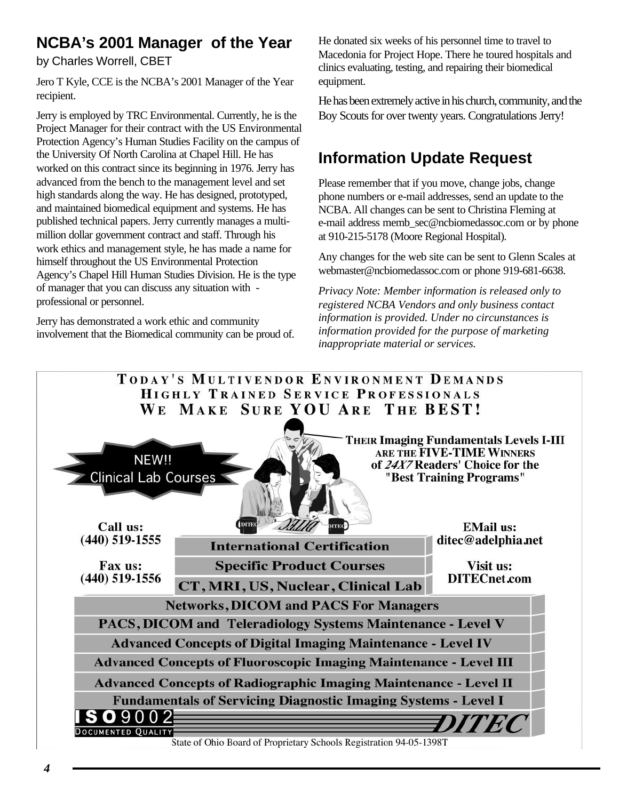# **NCBA's 2001 Manager of the Year**

by Charles Worrell, CBET

Jero T Kyle, CCE is the NCBA's 2001 Manager of the Year recipient.

Jerry is employed by TRC Environmental. Currently, he is the Project Manager for their contract with the US Environmental Protection Agency's Human Studies Facility on the campus of the University Of North Carolina at Chapel Hill. He has worked on this contract since its beginning in 1976. Jerry has advanced from the bench to the management level and set high standards along the way. He has designed, prototyped, and maintained biomedical equipment and systems. He has published technical papers. Jerry currently manages a multimillion dollar government contract and staff. Through his work ethics and management style, he has made a name for himself throughout the US Environmental Protection Agency's Chapel Hill Human Studies Division. He is the type of manager that you can discuss any situation with professional or personnel.

Jerry has demonstrated a work ethic and community involvement that the Biomedical community can be proud of. He donated six weeks of his personnel time to travel to Macedonia for Project Hope. There he toured hospitals and clinics evaluating, testing, and repairing their biomedical equipment.

He has been extremely active in his church, community, and the Boy Scouts for over twenty years. Congratulations Jerry!

# **Information Update Request**

Please remember that if you move, change jobs, change phone numbers or e-mail addresses, send an update to the NCBA. All changes can be sent to Christina Fleming at e-mail address memb\_sec@ncbiomedassoc.com or by phone at 910-215-5178 (Moore Regional Hospital).

Any changes for the web site can be sent to Glenn Scales at webmaster@ncbiomedassoc.com or phone 919-681-6638.

*Privacy Note: Member information is released only to registered NCBA Vendors and only business contact information is provided. Under no circunstances is information provided for the purpose of marketing inappropriate material or services.*



State of Ohio Board of Proprietary Schools Registration 94-05-1398T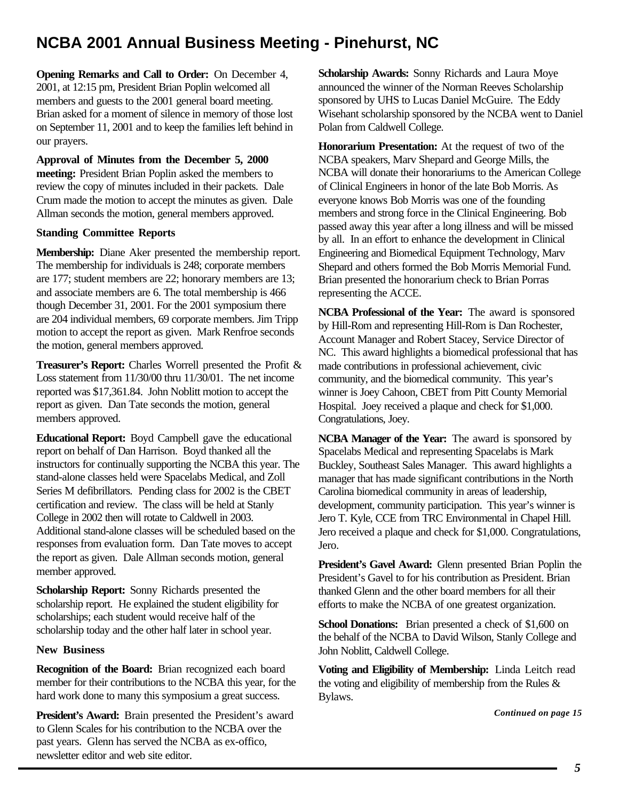# **NCBA 2001 Annual Business Meeting - Pinehurst, NC**

**Opening Remarks and Call to Order:** On December 4, 2001, at 12:15 pm, President Brian Poplin welcomed all members and guests to the 2001 general board meeting. Brian asked for a moment of silence in memory of those lost on September 11, 2001 and to keep the families left behind in our prayers.

**Approval of Minutes from the December 5, 2000 meeting:** President Brian Poplin asked the members to review the copy of minutes included in their packets. Dale Crum made the motion to accept the minutes as given. Dale Allman seconds the motion, general members approved.

## **Standing Committee Reports**

**Membership:** Diane Aker presented the membership report. The membership for individuals is 248; corporate members are 177; student members are 22; honorary members are 13; and associate members are 6. The total membership is 466 though December 31, 2001. For the 2001 symposium there are 204 individual members, 69 corporate members. Jim Tripp motion to accept the report as given. Mark Renfroe seconds the motion, general members approved.

**Treasurer's Report:** Charles Worrell presented the Profit & Loss statement from 11/30/00 thru 11/30/01. The net income reported was \$17,361.84. John Noblitt motion to accept the report as given. Dan Tate seconds the motion, general members approved.

**Educational Report:** Boyd Campbell gave the educational report on behalf of Dan Harrison. Boyd thanked all the instructors for continually supporting the NCBA this year. The stand-alone classes held were Spacelabs Medical, and Zoll Series M defibrillators. Pending class for 2002 is the CBET certification and review. The class will be held at Stanly College in 2002 then will rotate to Caldwell in 2003. Additional stand-alone classes will be scheduled based on the responses from evaluation form. Dan Tate moves to accept the report as given. Dale Allman seconds motion, general member approved.

**Scholarship Report:** Sonny Richards presented the scholarship report. He explained the student eligibility for scholarships; each student would receive half of the scholarship today and the other half later in school year.

### **New Business**

**Recognition of the Board:** Brian recognized each board member for their contributions to the NCBA this year, for the hard work done to many this symposium a great success.

**President's Award:** Brain presented the President's award to Glenn Scales for his contribution to the NCBA over the past years. Glenn has served the NCBA as ex-offico, newsletter editor and web site editor.

**Scholarship Awards:** Sonny Richards and Laura Moye announced the winner of the Norman Reeves Scholarship sponsored by UHS to Lucas Daniel McGuire. The Eddy Wisehant scholarship sponsored by the NCBA went to Daniel Polan from Caldwell College.

**Honorarium Presentation:** At the request of two of the NCBA speakers, Marv Shepard and George Mills, the NCBA will donate their honorariums to the American College of Clinical Engineers in honor of the late Bob Morris. As everyone knows Bob Morris was one of the founding members and strong force in the Clinical Engineering. Bob passed away this year after a long illness and will be missed by all. In an effort to enhance the development in Clinical Engineering and Biomedical Equipment Technology, Marv Shepard and others formed the Bob Morris Memorial Fund. Brian presented the honorarium check to Brian Porras representing the ACCE.

**NCBA Professional of the Year:** The award is sponsored by Hill-Rom and representing Hill-Rom is Dan Rochester, Account Manager and Robert Stacey, Service Director of NC. This award highlights a biomedical professional that has made contributions in professional achievement, civic community, and the biomedical community. This year's winner is Joey Cahoon, CBET from Pitt County Memorial Hospital. Joey received a plaque and check for \$1,000. Congratulations, Joey.

**NCBA Manager of the Year:** The award is sponsored by Spacelabs Medical and representing Spacelabs is Mark Buckley, Southeast Sales Manager. This award highlights a manager that has made significant contributions in the North Carolina biomedical community in areas of leadership, development, community participation. This year's winner is Jero T. Kyle, CCE from TRC Environmental in Chapel Hill. Jero received a plaque and check for \$1,000. Congratulations, Jero.

**President's Gavel Award:** Glenn presented Brian Poplin the President's Gavel to for his contribution as President. Brian thanked Glenn and the other board members for all their efforts to make the NCBA of one greatest organization.

**School Donations:** Brian presented a check of \$1,600 on the behalf of the NCBA to David Wilson, Stanly College and John Noblitt, Caldwell College.

**Voting and Eligibility of Membership:** Linda Leitch read the voting and eligibility of membership from the Rules & Bylaws.

*[Continued on page 15](#page-14-0)*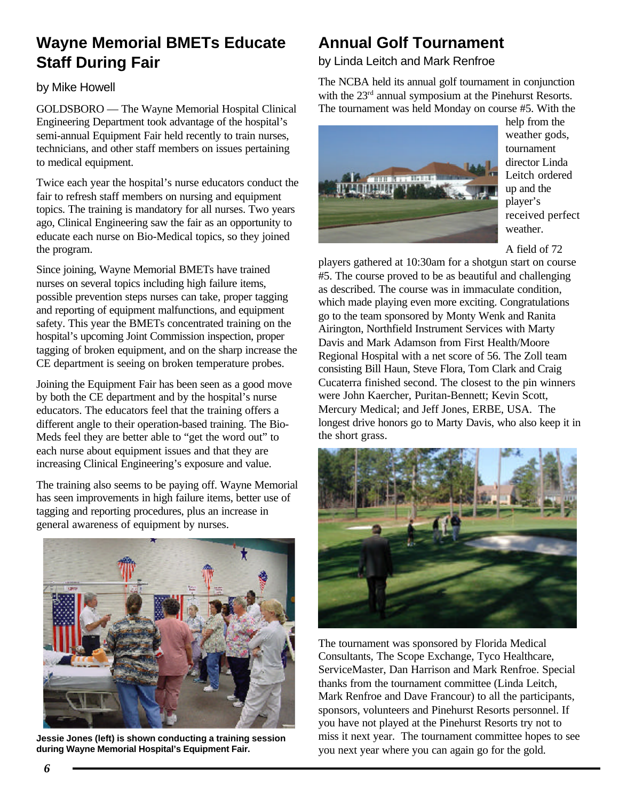# **Wayne Memorial BMETs Educate Staff During Fair**

## by Mike Howell

GOLDSBORO — The Wayne Memorial Hospital Clinical Engineering Department took advantage of the hospital's semi-annual Equipment Fair held recently to train nurses, technicians, and other staff members on issues pertaining to medical equipment.

Twice each year the hospital's nurse educators conduct the fair to refresh staff members on nursing and equipment topics. The training is mandatory for all nurses. Two years ago, Clinical Engineering saw the fair as an opportunity to educate each nurse on Bio-Medical topics, so they joined the program.

Since joining, Wayne Memorial BMETs have trained nurses on several topics including high failure items, possible prevention steps nurses can take, proper tagging and reporting of equipment malfunctions, and equipment safety. This year the BMETs concentrated training on the hospital's upcoming Joint Commission inspection, proper tagging of broken equipment, and on the sharp increase the CE department is seeing on broken temperature probes.

Joining the Equipment Fair has been seen as a good move by both the CE department and by the hospital's nurse educators. The educators feel that the training offers a different angle to their operation-based training. The Bio-Meds feel they are better able to "get the word out" to each nurse about equipment issues and that they are increasing Clinical Engineering's exposure and value.

The training also seems to be paying off. Wayne Memorial has seen improvements in high failure items, better use of tagging and reporting procedures, plus an increase in general awareness of equipment by nurses.



**Jessie Jones (left) is shown conducting a training session during Wayne Memorial Hospital's Equipment Fair.**

# **Annual Golf Tournament**

by Linda Leitch and Mark Renfroe

The NCBA held its annual golf tournament in conjunction with the 23<sup>rd</sup> annual symposium at the Pinehurst Resorts. The tournament was held Monday on course #5. With the



help from the weather gods, tournament director Linda Leitch ordered up and the player's received perfect weather.

A field of 72

players gathered at 10:30am for a shotgun start on course #5. The course proved to be as beautiful and challenging as described. The course was in immaculate condition, which made playing even more exciting. Congratulations go to the team sponsored by Monty Wenk and Ranita Airington, Northfield Instrument Services with Marty Davis and Mark Adamson from First Health/Moore Regional Hospital with a net score of 56. The Zoll team consisting Bill Haun, Steve Flora, Tom Clark and Craig Cucaterra finished second. The closest to the pin winners were John Kaercher, Puritan-Bennett; Kevin Scott, Mercury Medical; and Jeff Jones, ERBE, USA. The longest drive honors go to Marty Davis, who also keep it in the short grass.



The tournament was sponsored by Florida Medical Consultants, The Scope Exchange, Tyco Healthcare, ServiceMaster, Dan Harrison and Mark Renfroe. Special thanks from the tournament committee (Linda Leitch, Mark Renfroe and Dave Francour) to all the participants, sponsors, volunteers and Pinehurst Resorts personnel. If you have not played at the Pinehurst Resorts try not to miss it next year. The tournament committee hopes to see you next year where you can again go for the gold.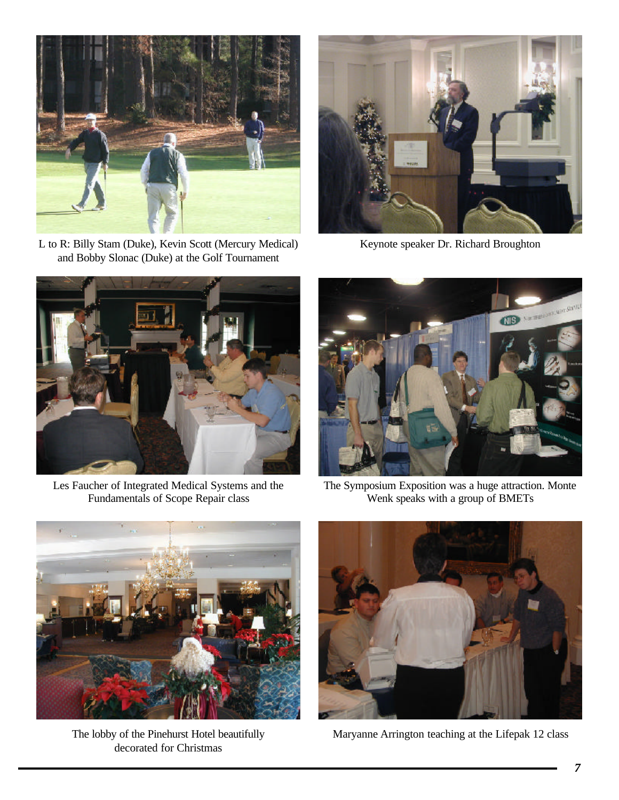

L to R: Billy Stam (Duke), Kevin Scott (Mercury Medical) and Bobby Slonac (Duke) at the Golf Tournament



Keynote speaker Dr. Richard Broughton



Les Faucher of Integrated Medical Systems and the Fundamentals of Scope Repair class



The Symposium Exposition was a huge attraction. Monte Wenk speaks with a group of BMETs



The lobby of the Pinehurst Hotel beautifully decorated for Christmas



Maryanne Arrington teaching at the Lifepak 12 class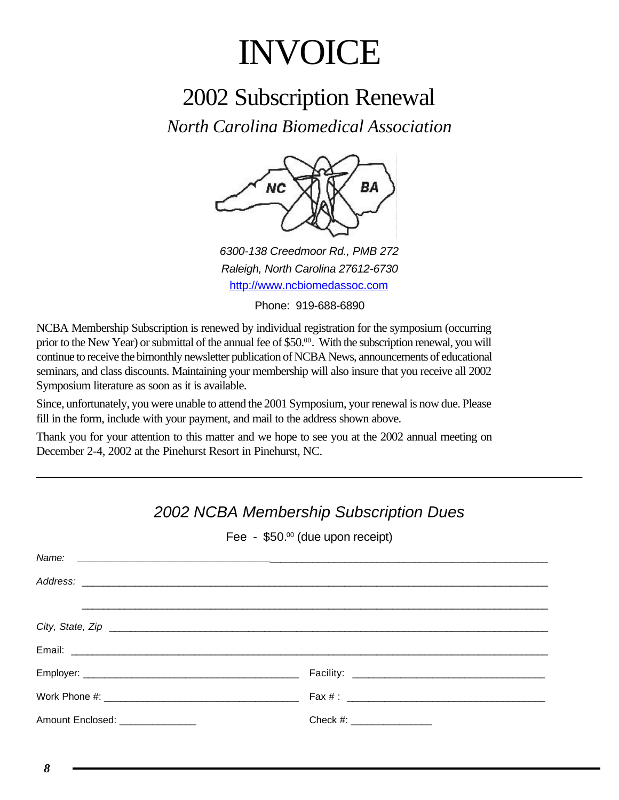# INVOICE

# 2002 Subscription Renewal

*North Carolina Biomedical Association*



*6300-138 Creedmoor Rd., PMB 272 Raleigh, North Carolina 27612-6730* http://www.ncbiomedassoc.com

Phone: 919-688-6890

NCBA Membership Subscription is renewed by individual registration for the symposium (occurring prior to the New Year) or submittal of the annual fee of \$50.<sup>00</sup>. With the subscription renewal, you will continue to receive the bimonthly newsletter publication of NCBA News, announcements of educational seminars, and class discounts. Maintaining your membership will also insure that you receive all 2002 Symposium literature as soon as it is available.

Since, unfortunately, you were unable to attend the 2001 Symposium, your renewal is now due. Please fill in the form, include with your payment, and mail to the address shown above.

Thank you for your attention to this matter and we hope to see you at the 2002 annual meeting on December 2-4, 2002 at the Pinehurst Resort in Pinehurst, NC.

# Fee - \$50.00 (due upon receipt) *Name:* \_\_\_\_\_\_\_\_\_\_\_\_\_\_\_\_\_\_\_\_\_\_\_\_\_\_\_\_\_\_\_\_\_\_\_\_\_\_\_\_\_\_\_\_\_\_\_\_\_\_\_\_\_\_\_\_\_\_\_\_\_\_\_\_\_\_\_\_\_\_\_\_\_\_\_\_\_\_\_\_\_\_\_\_\_\_\_\_  $Address:$ \_\_\_\_\_\_\_\_\_\_\_\_\_\_\_\_\_\_\_\_\_\_\_\_\_\_\_\_\_\_\_\_\_\_\_\_\_\_\_\_\_\_\_\_\_\_\_\_\_\_\_\_\_\_\_\_\_\_\_\_\_\_\_\_\_\_\_\_\_\_\_\_\_\_\_\_\_\_\_\_\_\_\_\_\_\_\_ *City, State, Zip* \_\_\_\_\_\_\_\_\_\_\_\_\_\_\_\_\_\_\_\_\_\_\_\_\_\_\_\_\_\_\_\_\_\_\_\_\_\_\_\_\_\_\_\_\_\_\_\_\_\_\_\_\_\_\_\_\_\_\_\_\_\_\_\_\_\_\_\_\_\_\_\_\_\_\_\_\_\_\_\_\_\_ Email: \_\_\_\_\_\_\_\_\_\_\_\_\_\_\_\_\_\_\_\_\_\_\_\_\_\_\_\_\_\_\_\_\_\_\_\_\_\_\_\_\_\_\_\_\_\_\_\_\_\_\_\_\_\_\_\_\_\_\_\_\_\_\_\_\_\_\_\_\_\_\_\_\_\_\_\_\_\_\_\_\_\_\_\_\_\_\_\_\_ Employer: \_\_\_\_\_\_\_\_\_\_\_\_\_\_\_\_\_\_\_\_\_\_\_\_\_\_\_\_\_\_\_\_\_\_\_\_\_\_\_\_ Facility: \_\_\_\_\_\_\_\_\_\_\_\_\_\_\_\_\_\_\_\_\_\_\_\_\_\_\_\_\_\_\_\_\_\_\_\_ Work Phone #: \_\_\_\_\_\_\_\_\_\_\_\_\_\_\_\_\_\_\_\_\_\_\_\_\_\_\_\_\_\_\_\_\_\_\_\_ Fax # : \_\_\_\_\_\_\_\_\_\_\_\_\_\_\_\_\_\_\_\_\_\_\_\_\_\_\_\_\_\_\_\_\_\_\_\_\_ Amount Enclosed:  $\blacksquare$

# *2002 NCBA Membership Subscription Dues*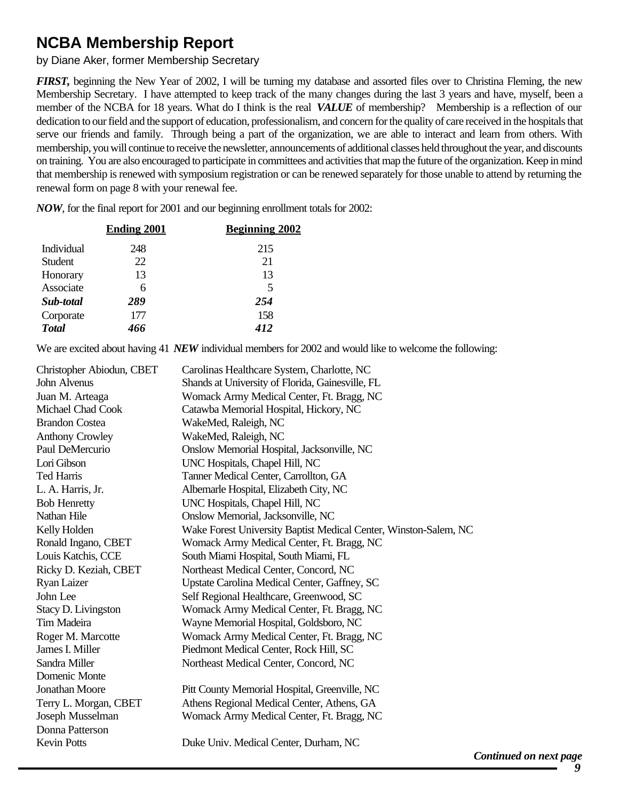# **NCBA Membership Report**

by Diane Aker, former Membership Secretary

*FIRST,* beginning the New Year of 2002, I will be turning my database and assorted files over to Christina Fleming, the new Membership Secretary. I have attempted to keep track of the many changes during the last 3 years and have, myself, been a member of the NCBA for 18 years. What do I think is the real *VALUE* of membership? Membership is a reflection of our dedication to our field and the support of education, professionalism, and concern for the quality of care received in the hospitals that serve our friends and family. Through being a part of the organization, we are able to interact and learn from others. With membership, you will continue to receive the newsletter, announcements of additional classes held throughout the year, and discounts on training. You are also encouraged to participate in committees and activities that map the future of the organization. Keep in mind that membership is renewed with symposium registration or can be renewed separately for those unable to attend by returning the renewal form on page 8 with your renewal fee.

*NOW*, for the final report for 2001 and our beginning enrollment totals for 2002:

| 248<br>Individual    | 215 |
|----------------------|-----|
| 22<br><b>Student</b> | 21  |
| 13<br>Honorary       | 13  |
| Associate<br>6       | 5   |
| 289<br>Sub-total     | 254 |
| 177<br>Corporate     | 158 |
| <b>Total</b><br>466  | 412 |

We are excited about having 41 *NEW* individual members for 2002 and would like to welcome the following:

| Christopher Abiodun, CBET | Carolinas Healthcare System, Charlotte, NC                       |
|---------------------------|------------------------------------------------------------------|
| John Alvenus              | Shands at University of Florida, Gainesville, FL                 |
| Juan M. Arteaga           | Womack Army Medical Center, Ft. Bragg, NC                        |
| Michael Chad Cook         | Catawba Memorial Hospital, Hickory, NC                           |
| <b>Brandon Costea</b>     | WakeMed, Raleigh, NC                                             |
| <b>Anthony Crowley</b>    | WakeMed, Raleigh, NC                                             |
| Paul DeMercurio           | Onslow Memorial Hospital, Jacksonville, NC                       |
| Lori Gibson               | UNC Hospitals, Chapel Hill, NC                                   |
| <b>Ted Harris</b>         | Tanner Medical Center, Carrollton, GA                            |
| L. A. Harris, Jr.         | Albemarle Hospital, Elizabeth City, NC                           |
| <b>Bob Henretty</b>       | UNC Hospitals, Chapel Hill, NC                                   |
| Nathan Hile               | Onslow Memorial, Jacksonville, NC                                |
| Kelly Holden              | Wake Forest University Baptist Medical Center, Winston-Salem, NC |
| Ronald Ingano, CBET       | Womack Army Medical Center, Ft. Bragg, NC                        |
| Louis Katchis, CCE        | South Miami Hospital, South Miami, FL                            |
| Ricky D. Keziah, CBET     | Northeast Medical Center, Concord, NC                            |
| <b>Ryan Laizer</b>        | Upstate Carolina Medical Center, Gaffney, SC                     |
| John Lee                  | Self Regional Healthcare, Greenwood, SC                          |
| Stacy D. Livingston       | Womack Army Medical Center, Ft. Bragg, NC                        |
| Tim Madeira               | Wayne Memorial Hospital, Goldsboro, NC                           |
| Roger M. Marcotte         | Womack Army Medical Center, Ft. Bragg, NC                        |
| James I. Miller           | Piedmont Medical Center, Rock Hill, SC                           |
| Sandra Miller             | Northeast Medical Center, Concord, NC                            |
| Domenic Monte             |                                                                  |
| Jonathan Moore            | Pitt County Memorial Hospital, Greenville, NC                    |
| Terry L. Morgan, CBET     | Athens Regional Medical Center, Athens, GA                       |
| Joseph Musselman          | Womack Army Medical Center, Ft. Bragg, NC                        |
| Donna Patterson           |                                                                  |
| <b>Kevin Potts</b>        | Duke Univ. Medical Center, Durham, NC                            |
|                           | ✔                                                                |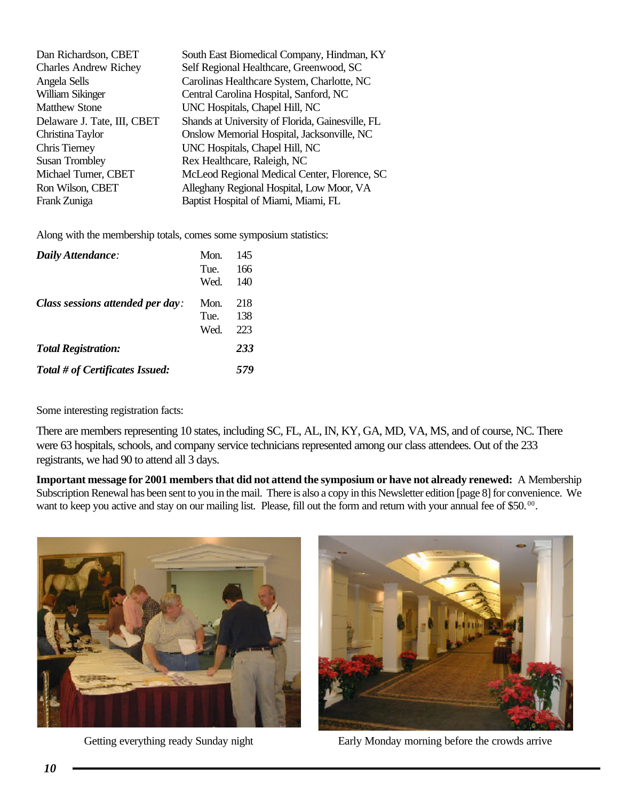<span id="page-9-0"></span>

| Dan Richardson, CBET         | South East Biomedical Company, Hindman, KY       |
|------------------------------|--------------------------------------------------|
| <b>Charles Andrew Richey</b> | Self Regional Healthcare, Greenwood, SC          |
| Angela Sells                 | Carolinas Healthcare System, Charlotte, NC       |
| William Sikinger             | Central Carolina Hospital, Sanford, NC           |
| <b>Matthew Stone</b>         | UNC Hospitals, Chapel Hill, NC                   |
| Delaware J. Tate, III, CBET  | Shands at University of Florida, Gainesville, FL |
| Christina Taylor             | Onslow Memorial Hospital, Jacksonville, NC       |
| Chris Tierney                | UNC Hospitals, Chapel Hill, NC                   |
| <b>Susan Trombley</b>        | Rex Healthcare, Raleigh, NC                      |
| Michael Turner, CBET         | McLeod Regional Medical Center, Florence, SC     |
| Ron Wilson, CBET             | Alleghany Regional Hospital, Low Moor, VA        |
| Frank Zuniga                 | Baptist Hospital of Miami, Miami, FL             |

Along with the membership totals, comes some symposium statistics:

| Daily Attendance:                | Mon. | 145 |
|----------------------------------|------|-----|
|                                  | Tue. | 166 |
|                                  | Wed. | 140 |
| Class sessions attended per day: | Mon. | 218 |
|                                  | Tue. | 138 |
|                                  | Wed. | 223 |
| <b>Total Registration:</b>       |      | 233 |
| Total # of Certificates Issued:  |      | 579 |

Some interesting registration facts:

There are members representing 10 states, including SC, FL, AL, IN, KY, GA, MD, VA, MS, and of course, NC. There were 63 hospitals, schools, and company service technicians represented among our class attendees. Out of the 233 registrants, we had 90 to attend all 3 days.

**Important message for 2001 members that did not attend the symposium or have not already renewed:** A Membership Subscription Renewal has been sent to you in the mail. There is also a copy in this Newsletter edition [page 8] for convenience. We want to keep you active and stay on our mailing list. Please, fill out the form and return with your annual fee of \$50.<sup>00</sup>.



Getting everything ready Sunday night Early Monday morning before the crowds arrive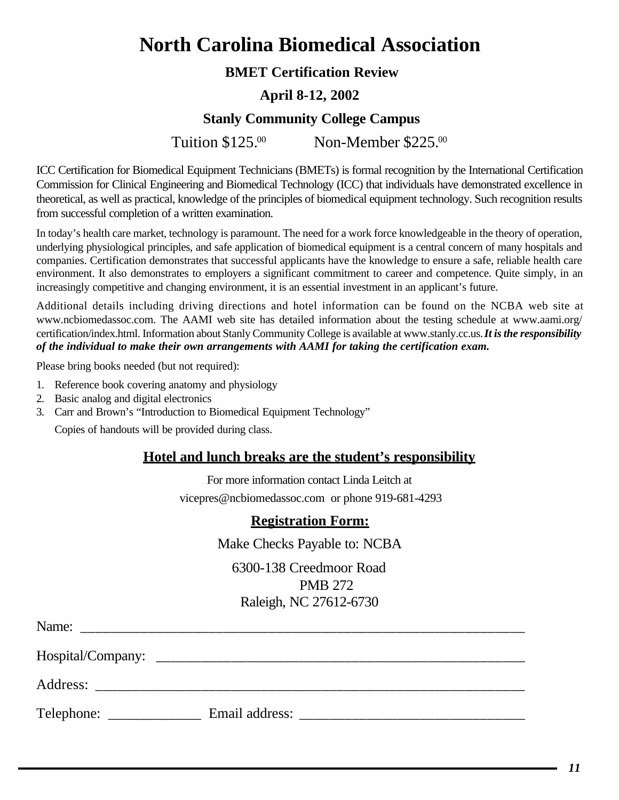# **North Carolina Biomedical Association**

# **BMET Certification Review**

# **April 8-12, 2002**

# **Stanly Community College Campus**

Tuition \$125.00 Non-Member \$225.00

ICC Certification for Biomedical Equipment Technicians (BMETs) is formal recognition by the International Certification Commission for Clinical Engineering and Biomedical Technology (ICC) that individuals have demonstrated excellence in theoretical, as well as practical, knowledge of the principles of biomedical equipment technology. Such recognition results from successful completion of a written examination.

In today's health care market, technology is paramount. The need for a work force knowledgeable in the theory of operation, underlying physiological principles, and safe application of biomedical equipment is a central concern of many hospitals and companies. Certification demonstrates that successful applicants have the knowledge to ensure a safe, reliable health care environment. It also demonstrates to employers a significant commitment to career and competence. Quite simply, in an increasingly competitive and changing environment, it is an essential investment in an applicant's future.

Additional details including driving directions and hotel information can be found on the NCBA web site at www.ncbiomedassoc.com. The AAMI web site has detailed information about the testing schedule at www.aami.org/ certification/index.html. Information about Stanly Community College is available at www.stanly.cc.us. *It is the responsibility of the individual to make their own arrangements with AAMI for taking the certification exam.*

Please bring books needed (but not required):

- 1. Reference book covering anatomy and physiology
- 2. Basic analog and digital electronics
- 3. Carr and Brown's "Introduction to Biomedical Equipment Technology"

Copies of handouts will be provided during class.

## **Hotel and lunch breaks are the student's responsibility**

For more information contact Linda Leitch at

vicepres@ncbiomedassoc.com or phone 919-681-4293

## **Registration Form:**

Make Checks Payable to: NCBA

6300-138 Creedmoor Road PMB 272 Raleigh, NC 27612-6730

| Name:             |                |
|-------------------|----------------|
| Hospital/Company: |                |
| Address:          |                |
| Telephone:        | Email address: |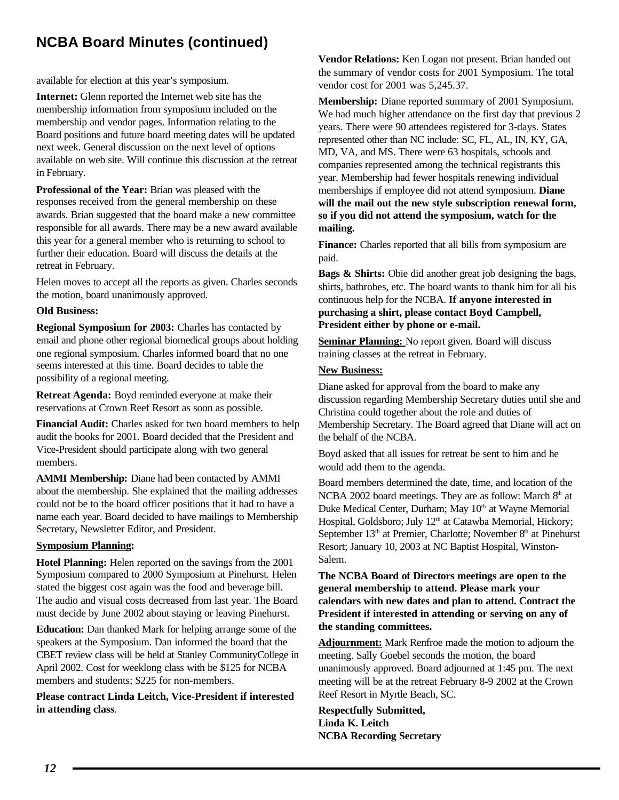# <span id="page-11-0"></span>**NCBA Board Minutes (continued)**

available for election at this year's symposium.

**Internet:** Glenn reported the Internet web site has the membership information from symposium included on the membership and vendor pages. Information relating to the Board positions and future board meeting dates will be updated next week. General discussion on the next level of options available on web site. Will continue this discussion at the retreat in February.

**Professional of the Year:** Brian was pleased with the responses received from the general membership on these awards. Brian suggested that the board make a new committee responsible for all awards. There may be a new award available this year for a general member who is returning to school to further their education. Board will discuss the details at the retreat in February.

Helen moves to accept all the reports as given. Charles seconds the motion, board unanimously approved.

### **Old Business:**

**Regional Symposium for 2003:** Charles has contacted by email and phone other regional biomedical groups about holding one regional symposium. Charles informed board that no one seems interested at this time. Board decides to table the possibility of a regional meeting.

**Retreat Agenda:** Boyd reminded everyone at make their reservations at Crown Reef Resort as soon as possible.

**Financial Audit:** Charles asked for two board members to help audit the books for 2001. Board decided that the President and Vice-President should participate along with two general members.

**AMMI Membership:** Diane had been contacted by AMMI about the membership. She explained that the mailing addresses could not be to the board officer positions that it had to have a name each year. Board decided to have mailings to Membership Secretary, Newsletter Editor, and President.

### **Symposium Planning:**

**Hotel Planning:** Helen reported on the savings from the 2001 Symposium compared to 2000 Symposium at Pinehurst. Helen stated the biggest cost again was the food and beverage bill. The audio and visual costs decreased from last year. The Board must decide by June 2002 about staying or leaving Pinehurst.

**Education:** Dan thanked Mark for helping arrange some of the speakers at the Symposium. Dan informed the board that the CBET review class will be held at Stanley CommunityCollege in April 2002. Cost for weeklong class with be \$125 for NCBA members and students; \$225 for non-members.

**Please contract Linda Leitch, Vice-President if interested in attending class**.

**Vendor Relations:** Ken Logan not present. Brian handed out the summary of vendor costs for 2001 Symposium. The total vendor cost for 2001 was 5,245.37.

**Membership:** Diane reported summary of 2001 Symposium. We had much higher attendance on the first day that previous 2 years. There were 90 attendees registered for 3-days. States represented other than NC include: SC, FL, AL, IN, KY, GA, MD, VA, and MS. There were 63 hospitals, schools and companies represented among the technical registrants this year. Membership had fewer hospitals renewing individual memberships if employee did not attend symposium. **Diane will the mail out the new style subscription renewal form, so if you did not attend the symposium, watch for the mailing.**

**Finance:** Charles reported that all bills from symposium are paid.

**Bags & Shirts:** Obie did another great job designing the bags, shirts, bathrobes, etc. The board wants to thank him for all his continuous help for the NCBA. **If anyone interested in purchasing a shirt, please contact Boyd Campbell, President either by phone or e-mail.**

**Seminar Planning:** No report given. Board will discuss training classes at the retreat in February.

#### **New Business:**

Diane asked for approval from the board to make any discussion regarding Membership Secretary duties until she and Christina could together about the role and duties of Membership Secretary. The Board agreed that Diane will act on the behalf of the NCBA.

Boyd asked that all issues for retreat be sent to him and he would add them to the agenda.

Board members determined the date, time, and location of the NCBA 2002 board meetings. They are as follow: March 8<sup>th</sup> at Duke Medical Center, Durham; May 10<sup>th</sup> at Wayne Memorial Hospital, Goldsboro; July 12<sup>th</sup> at Catawba Memorial, Hickory; September  $13<sup>th</sup>$  at Premier, Charlotte; November  $8<sup>th</sup>$  at Pinehurst Resort; January 10, 2003 at NC Baptist Hospital, Winston-Salem.

**The NCBA Board of Directors meetings are open to the general membership to attend. Please mark your calendars with new dates and plan to attend. Contract the President if interested in attending or serving on any of the standing committees.**

**Adjournment:** Mark Renfroe made the motion to adjourn the meeting. Sally Goebel seconds the motion, the board unanimously approved. Board adjourned at 1:45 pm. The next meeting will be at the retreat February 8-9 2002 at the Crown Reef Resort in Myrtle Beach, SC.

**Respectfully Submitted, Linda K. Leitch NCBA Recording Secretary**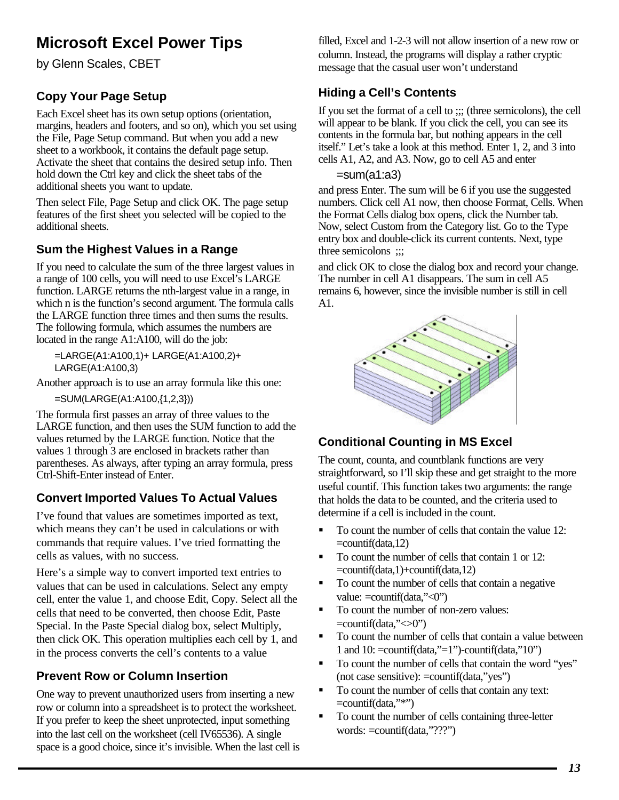# **Microsoft Excel Power Tips**

by Glenn Scales, CBET

# **Copy Your Page Setup**

Each Excel sheet has its own setup options (orientation, margins, headers and footers, and so on), which you set using the File, Page Setup command. But when you add a new sheet to a workbook, it contains the default page setup. Activate the sheet that contains the desired setup info. Then hold down the Ctrl key and click the sheet tabs of the additional sheets you want to update.

Then select File, Page Setup and click OK. The page setup features of the first sheet you selected will be copied to the additional sheets.

## **Sum the Highest Values in a Range**

If you need to calculate the sum of the three largest values in a range of 100 cells, you will need to use Excel's LARGE function. LARGE returns the nth-largest value in a range, in which n is the function's second argument. The formula calls the LARGE function three times and then sums the results. The following formula, which assumes the numbers are located in the range A1:A100, will do the job:

=LARGE(A1:A100,1)+ LARGE(A1:A100,2)+ LARGE(A1:A100,3)

Another approach is to use an array formula like this one:

=SUM(LARGE(A1:A100,{1,2,3}))

The formula first passes an array of three values to the LARGE function, and then uses the SUM function to add the values returned by the LARGE function. Notice that the values 1 through 3 are enclosed in brackets rather than parentheses. As always, after typing an array formula, press Ctrl-Shift-Enter instead of Enter.

# **Convert Imported Values To Actual Values**

I've found that values are sometimes imported as text, which means they can't be used in calculations or with commands that require values. I've tried formatting the cells as values, with no success.

Here's a simple way to convert imported text entries to values that can be used in calculations. Select any empty cell, enter the value 1, and choose Edit, Copy. Select all the cells that need to be converted, then choose Edit, Paste Special. In the Paste Special dialog box, select Multiply, then click OK. This operation multiplies each cell by 1, and in the process converts the cell's contents to a value

## **Prevent Row or Column Insertion**

One way to prevent unauthorized users from inserting a new row or column into a spreadsheet is to protect the worksheet. If you prefer to keep the sheet unprotected, input something into the last cell on the worksheet (cell IV65536). A single space is a good choice, since it's invisible. When the last cell is filled, Excel and 1-2-3 will not allow insertion of a new row or column. Instead, the programs will display a rather cryptic message that the casual user won't understand

# **Hiding a Cell's Contents**

If you set the format of a cell to ;;; (three semicolons), the cell will appear to be blank. If you click the cell, you can see its contents in the formula bar, but nothing appears in the cell itself." Let's take a look at this method. Enter 1, 2, and 3 into cells A1, A2, and A3. Now, go to cell A5 and enter

## $= sum(a1:a3)$

and press Enter. The sum will be 6 if you use the suggested numbers. Click cell A1 now, then choose Format, Cells. When the Format Cells dialog box opens, click the Number tab. Now, select Custom from the Category list. Go to the Type entry box and double-click its current contents. Next, type three semicolons  $\ldots$ 

and click OK to close the dialog box and record your change. The number in cell A1 disappears. The sum in cell A5 remains 6, however, since the invisible number is still in cell A1.



# **Conditional Counting in MS Excel**

The count, counta, and countblank functions are very straightforward, so I'll skip these and get straight to the more useful countif. This function takes two arguments: the range that holds the data to be counted, and the criteria used to determine if a cell is included in the count.

- $\blacksquare$  To count the number of cells that contain the value 12: =countif(data,12)
- To count the number of cells that contain 1 or 12: =countif(data,1)+countif(data,12)
- ß To count the number of cells that contain a negative value: =countif(data,"<0")
- ß To count the number of non-zero values:  $=$ countif(data," $\langle 0$ ")
- ß To count the number of cells that contain a value between 1 and 10: =countif(data,"=1")-countif(data,"10")
- To count the number of cells that contain the word "yes" (not case sensitive): =countif(data,"yes")
- To count the number of cells that contain any text:  $=$ countif(data,"\*")
- ß To count the number of cells containing three-letter words: =countif(data,"???")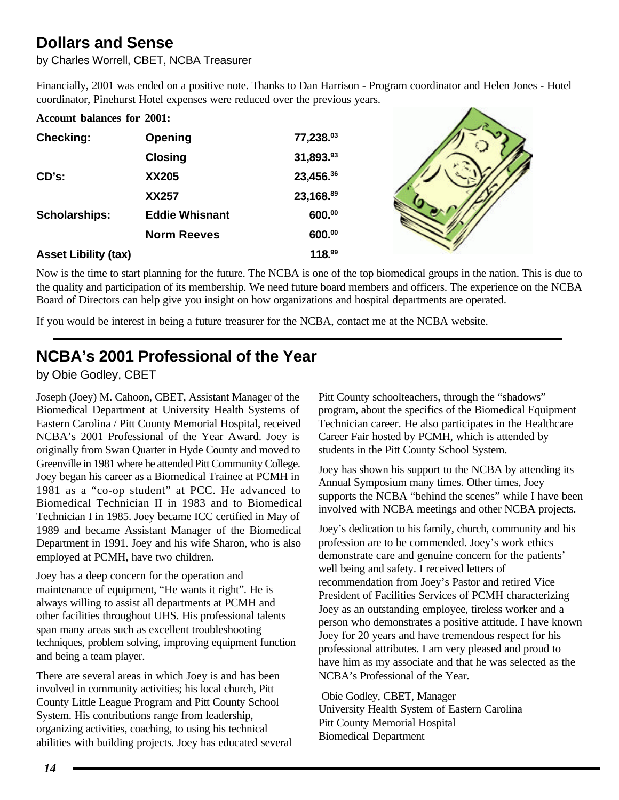# **Dollars and Sense**

by Charles Worrell, CBET, NCBA Treasurer

Financially, 2001 was ended on a positive note. Thanks to Dan Harrison - Program coordinator and Helen Jones - Hotel coordinator, Pinehurst Hotel expenses were reduced over the previous years.  $\sim$ 

| <b>Account balances for 2001:</b> |                       |           |  |
|-----------------------------------|-----------------------|-----------|--|
| <b>Checking:</b>                  | Opening               | 77,238.03 |  |
|                                   | <b>Closing</b>        | 31,893.93 |  |
| CD's:                             | XX205                 | 23,456.36 |  |
|                                   | <b>XX257</b>          | 23,168.89 |  |
| <b>Scholarships:</b>              | <b>Eddie Whisnant</b> | 600.00    |  |
|                                   | <b>Norm Reeves</b>    | 600.00    |  |
| <b>Asset Libility (tax)</b>       |                       | 118.99    |  |

Now is the time to start planning for the future. The NCBA is one of the top biomedical groups in the nation. This is due to the quality and participation of its membership. We need future board members and officers. The experience on the NCBA Board of Directors can help give you insight on how organizations and hospital departments are operated.

If you would be interest in being a future treasurer for the NCBA, contact me at the NCBA website.

# **NCBA's 2001 Professional of the Year**

by Obie Godley, CBET

Joseph (Joey) M. Cahoon, CBET, Assistant Manager of the Biomedical Department at University Health Systems of Eastern Carolina / Pitt County Memorial Hospital, received NCBA's 2001 Professional of the Year Award. Joey is originally from Swan Quarter in Hyde County and moved to Greenville in 1981 where he attended Pitt Community College. Joey began his career as a Biomedical Trainee at PCMH in 1981 as a "co-op student" at PCC. He advanced to Biomedical Technician II in 1983 and to Biomedical Technician I in 1985. Joey became ICC certified in May of 1989 and became Assistant Manager of the Biomedical Department in 1991. Joey and his wife Sharon, who is also employed at PCMH, have two children.

Joey has a deep concern for the operation and maintenance of equipment, "He wants it right". He is always willing to assist all departments at PCMH and other facilities throughout UHS. His professional talents span many areas such as excellent troubleshooting techniques, problem solving, improving equipment function and being a team player.

There are several areas in which Joey is and has been involved in community activities; his local church, Pitt County Little League Program and Pitt County School System. His contributions range from leadership, organizing activities, coaching, to using his technical abilities with building projects. Joey has educated several Pitt County schoolteachers, through the "shadows" program, about the specifics of the Biomedical Equipment Technician career. He also participates in the Healthcare Career Fair hosted by PCMH, which is attended by students in the Pitt County School System.

Joey has shown his support to the NCBA by attending its Annual Symposium many times. Other times, Joey supports the NCBA "behind the scenes" while I have been involved with NCBA meetings and other NCBA projects.

Joey's dedication to his family, church, community and his profession are to be commended. Joey's work ethics demonstrate care and genuine concern for the patients' well being and safety. I received letters of recommendation from Joey's Pastor and retired Vice President of Facilities Services of PCMH characterizing Joey as an outstanding employee, tireless worker and a person who demonstrates a positive attitude. I have known Joey for 20 years and have tremendous respect for his professional attributes. I am very pleased and proud to have him as my associate and that he was selected as the NCBA's Professional of the Year.

 Obie Godley, CBET, Manager University Health System of Eastern Carolina Pitt County Memorial Hospital Biomedical Department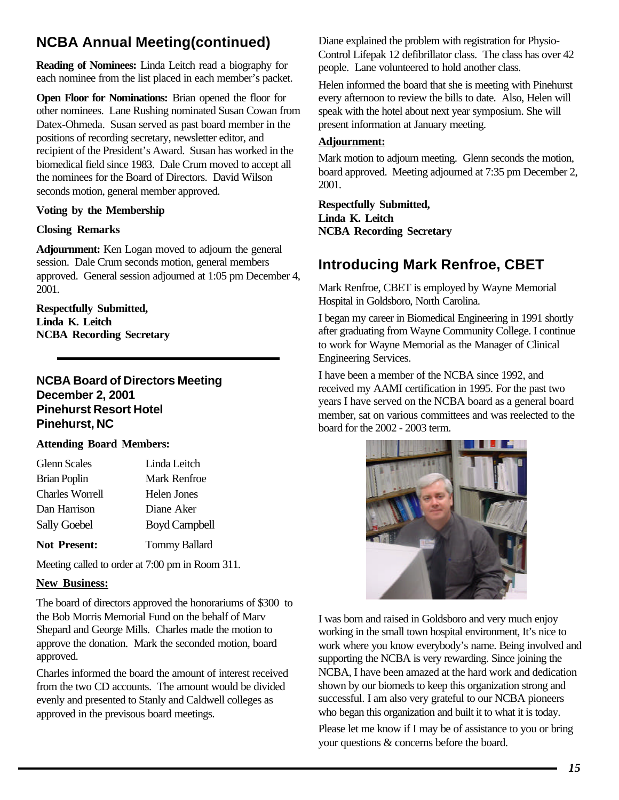# <span id="page-14-0"></span>**NCBA Annual Meeting(continued)**

**Reading of Nominees:** Linda Leitch read a biography for each nominee from the list placed in each member's packet.

**Open Floor for Nominations:** Brian opened the floor for other nominees. Lane Rushing nominated Susan Cowan from Datex-Ohmeda. Susan served as past board member in the positions of recording secretary, newsletter editor, and recipient of the President's Award. Susan has worked in the biomedical field since 1983. Dale Crum moved to accept all the nominees for the Board of Directors. David Wilson seconds motion, general member approved.

### **Voting by the Membership**

### **Closing Remarks**

**Adjournment:** Ken Logan moved to adjourn the general session. Dale Crum seconds motion, general members approved. General session adjourned at 1:05 pm December 4, 2001.

**Respectfully Submitted, Linda K. Leitch NCBA Recording Secretary**

## **NCBA Board of Directors Meeting December 2, 2001 Pinehurst Resort Hotel Pinehurst, NC**

### **Attending Board Members:**

| <b>Glenn Scales</b>    | Linda Leitch         |
|------------------------|----------------------|
| <b>Brian Poplin</b>    | Mark Renfroe         |
| <b>Charles Worrell</b> | Helen Jones          |
| Dan Harrison           | Diane Aker           |
| <b>Sally Goebel</b>    | <b>Boyd Campbell</b> |
| <b>Not Present:</b>    | <b>Tommy Ballard</b> |

Meeting called to order at 7:00 pm in Room 311.

### **New Business:**

The board of directors approved the honorariums of \$300 to the Bob Morris Memorial Fund on the behalf of Marv Shepard and George Mills. Charles made the motion to approve the donation. Mark the seconded motion, board approved.

Charles informed the board the amount of interest received from the two CD accounts. The amount would be divided evenly and presented to Stanly and Caldwell colleges as approved in the previsous board meetings.

Diane explained the problem with registration for Physio-Control Lifepak 12 defibrillator class. The class has over 42 people. Lane volunteered to hold another class.

Helen informed the board that she is meeting with Pinehurst every afternoon to review the bills to date. Also, Helen will speak with the hotel about next year symposium. She will present information at January meeting.

### **Adjournment:**

Mark motion to adjourn meeting. Glenn seconds the motion, board approved. Meeting adjourned at 7:35 pm December 2, 2001.

**Respectfully Submitted, Linda K. Leitch NCBA Recording Secretary**

# **Introducing Mark Renfroe, CBET**

Mark Renfroe, CBET is employed by Wayne Memorial Hospital in Goldsboro, North Carolina.

I began my career in Biomedical Engineering in 1991 shortly after graduating from Wayne Community College. I continue to work for Wayne Memorial as the Manager of Clinical Engineering Services.

I have been a member of the NCBA since 1992, and received my AAMI certification in 1995. For the past two years I have served on the NCBA board as a general board member, sat on various committees and was reelected to the board for the 2002 - 2003 term.



I was born and raised in Goldsboro and very much enjoy working in the small town hospital environment, It's nice to work where you know everybody's name. Being involved and supporting the NCBA is very rewarding. Since joining the NCBA, I have been amazed at the hard work and dedication shown by our biomeds to keep this organization strong and successful. I am also very grateful to our NCBA pioneers who began this organization and built it to what it is today.

Please let me know if I may be of assistance to you or bring your questions & concerns before the board.